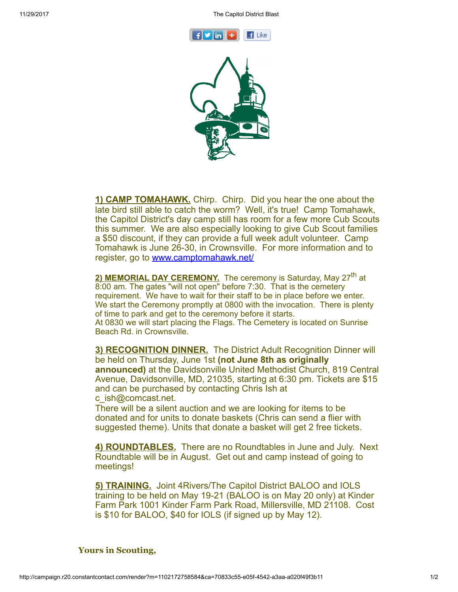



1) CAMP TOMAHAWK. Chirp. Chirp. Did you hear the one about the late bird still able to catch the worm? Well, it's true! Camp Tomahawk, the Capitol District's day camp still has room for a few more Cub Scouts this summer. We are also especially looking to give Cub Scout families a \$50 discount, if they can provide a full week adult volunteer. Camp Tomahawk is June 26-30, in Crownsville. For more information and to register, go to [www.camptomahawk.net/](http://www.camptomahawk.net/)

2) MEMORIAL DAY CEREMONY. The ceremony is Saturday, May 27<sup>th</sup> at 8:00 am. The gates "will not open" before 7:30. That is the cemetery requirement. We have to wait for their staff to be in place before we enter. We start the Ceremony promptly at 0800 with the invocation. There is plenty of time to park and get to the ceremony before it starts. At 0830 we will start placing the Flags. The Cemetery is located on Sunrise Beach Rd. in Crownsville.

3) RECOGNITION DINNER. The District Adult Recognition Dinner will be held on Thursday, June 1st (not June 8th as originally announced) at the Davidsonville United Methodist Church, 819 Central Avenue, Davidsonville, MD, 21035, starting at 6:30 pm. Tickets are \$15 and can be purchased by contacting Chris Ish at c\_ish@comcast.net.

There will be a silent auction and we are looking for items to be donated and for units to donate baskets (Chris can send a flier with suggested theme). Units that donate a basket will get 2 free tickets.

4) ROUNDTABLES. There are no Roundtables in June and July. Next Roundtable will be in August. Get out and camp instead of going to meetings!

5) TRAINING. Joint 4Rivers/The Capitol District BALOO and IOLS training to be held on May 19-21 (BALOO is on May 20 only) at Kinder Farm Park 1001 Kinder Farm Park Road, Millersville, MD 21108. Cost is \$10 for BALOO, \$40 for IOLS (if signed up by May 12).

## Yours in Scouting,